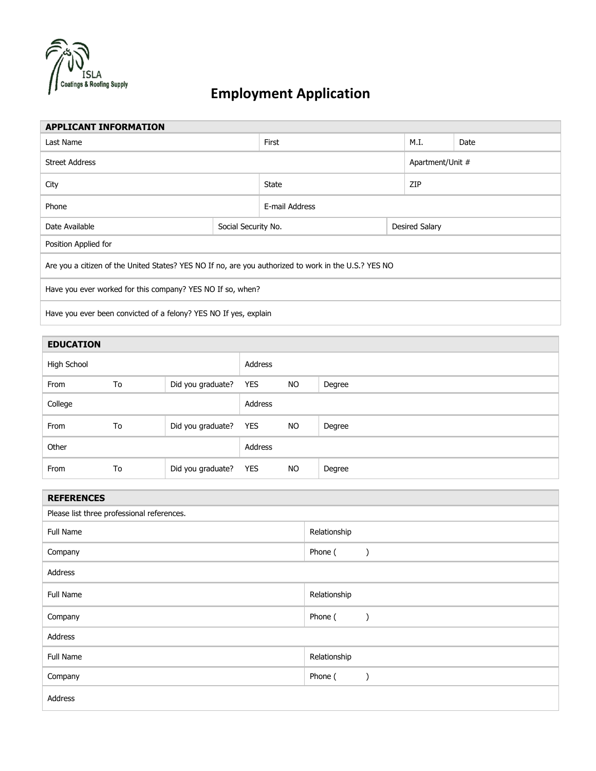

## **Employment Application**

| <b>APPLICANT INFORMATION</b>                                                                         |  |                       |                       |  |  |
|------------------------------------------------------------------------------------------------------|--|-----------------------|-----------------------|--|--|
| Last Name                                                                                            |  | M.I.                  | Date                  |  |  |
| <b>Street Address</b>                                                                                |  |                       | Apartment/Unit #      |  |  |
| City                                                                                                 |  | ZIP                   |                       |  |  |
| Phone                                                                                                |  | E-mail Address        |                       |  |  |
| Social Security No.                                                                                  |  |                       |                       |  |  |
| Position Applied for                                                                                 |  |                       |                       |  |  |
| Are you a citizen of the United States? YES NO If no, are you authorized to work in the U.S.? YES NO |  |                       |                       |  |  |
| Have you ever worked for this company? YES NO If so, when?                                           |  |                       |                       |  |  |
| Have you ever been convicted of a felony? YES NO If yes, explain                                     |  |                       |                       |  |  |
|                                                                                                      |  | First<br><b>State</b> | <b>Desired Salary</b> |  |  |

| <b>EDUCATION</b> |    |                       |         |           |        |
|------------------|----|-----------------------|---------|-----------|--------|
| High School      |    |                       | Address |           |        |
| From             | To | Did you graduate?     | YES     | <b>NO</b> | Degree |
| College          |    |                       | Address |           |        |
| From             | To | Did you graduate? YES |         | NO.       | Degree |
| Other            |    |                       | Address |           |        |
| From             | To | Did you graduate? YES |         | NO.       | Degree |

| <b>REFERENCES</b>                          |              |  |  |  |
|--------------------------------------------|--------------|--|--|--|
| Please list three professional references. |              |  |  |  |
| Full Name                                  | Relationship |  |  |  |
| Company                                    | Phone (      |  |  |  |
| Address                                    |              |  |  |  |
| Full Name                                  | Relationship |  |  |  |
| Company                                    | Phone (      |  |  |  |
| Address                                    |              |  |  |  |
| Full Name                                  | Relationship |  |  |  |
| Company                                    | Phone (      |  |  |  |
| Address                                    |              |  |  |  |